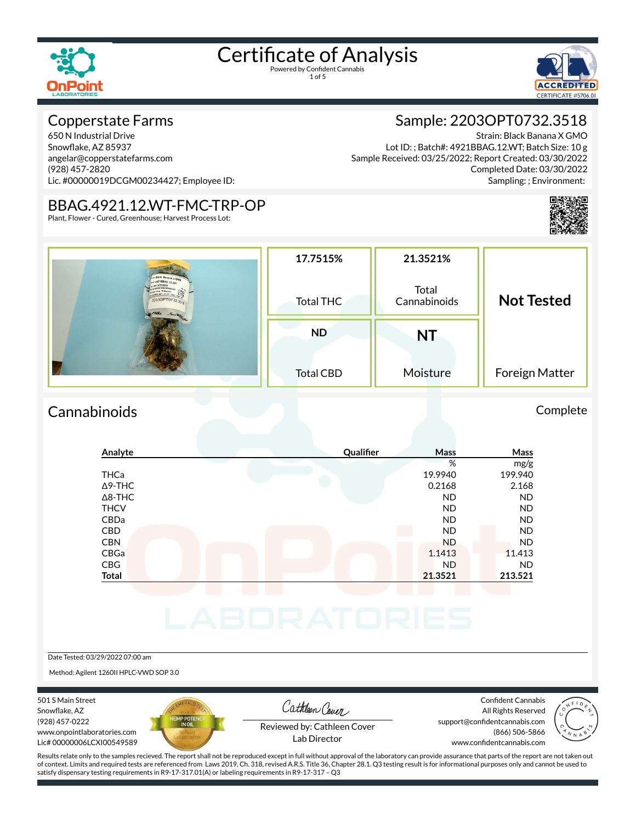1 of 5



### Copperstate Farms

650 N Industrial Drive Snowflake, AZ 85937 angelar@copperstatefarms.com (928) 457-2820 Lic. #00000019DCGM00234427; Employee ID:

#### Sample: 2203OPT0732.3518 Strain: Black Banana X GMO

Lot ID: ; Batch#: 4921BBAG.12.WT; Batch Size: 10 g Sample Received: 03/25/2022; Report Created: 03/30/2022 Completed Date: 03/30/2022 Sampling: ; Environment:

## BBAG.4921.12.WT-FMC-TRP-OP

Plant, Flower - Cured, Greenhouse; Harvest Process Lot:

|                                                                                                                                          |                  |                       | وواجبت والتناقي       |
|------------------------------------------------------------------------------------------------------------------------------------------|------------------|-----------------------|-----------------------|
|                                                                                                                                          | 17.7515%         | 21.3521%              |                       |
| slack Banana x GMC<br>492188AG.12.WT<br>ext: 1/23/202<br>r Sens. 70 Degrees<br>PRIS 4821.12.107 - Fax<br>2203OPT0732.35<br>MAKe New When | Total THC        | Total<br>Cannabinoids | <b>Not Tested</b>     |
|                                                                                                                                          | <b>ND</b>        | <b>NT</b>             |                       |
|                                                                                                                                          | <b>Total CBD</b> | Moisture              | <b>Foreign Matter</b> |

### Cannabinoids Complete

#### **Analyte Quali×er Mass Mass** % mg/g THCa 19.9940 199.940  $\Delta$ 9-THC 2.168 2.168 2.168 Δ8-THC ND ND THCV ND ND CBDa ND ND CBD A RESIDENCE OF A RESIDENCE OF A RESIDENCE OF A RESIDENCE OF A RESIDENCE OF A RESIDENCE OF A RESIDENCE OF A CBN ND ND CBGa 1.1413 11.413 CBG ND ND **Total 21.3521 213.521**

Date Tested: 03/29/2022 07:00 am

Method: Agilent 1260II HPLC-VWD SOP 3.0

501 S Main Street Snowflake, AZ (928) 457-0222 www.onpointlaboratories.com Lic# 00000006LCXI00549589



Cathleen Cover

Confident Cannabis All Rights Reserved support@confidentcannabis.com (866) 506-5866



Reviewed by: Cathleen Cover Lab Director

www.confidentcannabis.com

Results relate only to the samples recieved. The report shall not be reproduced except in full without approval of the laboratory can provide assurance that parts of the report are not taken out of context. Limits and required tests are referenced from Laws 2019, Ch. 318, revised A.R.S. Title 36, Chapter 28.1. Q3 testing result is for informational purposes only and cannot be used to satisfy dispensary testing requirements in R9-17-317.01(A) or labeling requirements in R9-17-317 – Q3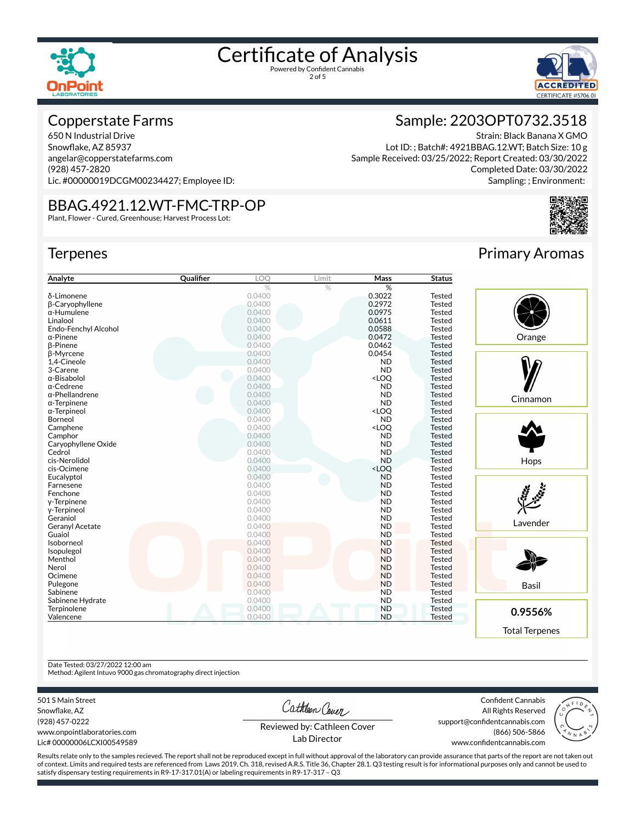



#### Copperstate Farms

650 N Industrial Drive Snowflake, AZ 85937 angelar@copperstatefarms.com (928) 457-2820 Lic. #00000019DCGM00234427; Employee ID:

#### BBAG.4921.12.WT-FMC-TRP-OP

Plant, Flower - Cured, Greenhouse; Harvest Process Lot:

#### **Terpenes**

| Analyte                | Qualifier | LOO    | Limit | Mass                                      | <b>Status</b> |
|------------------------|-----------|--------|-------|-------------------------------------------|---------------|
|                        |           | %      | %     | %                                         |               |
| δ-Limonene             |           | 0.0400 |       | 0.3022                                    | <b>Tested</b> |
| <b>B-Caryophyllene</b> |           | 0.0400 |       | 0.2972                                    | <b>Tested</b> |
| α-Humulene             |           | 0.0400 |       | 0.0975                                    | Tested        |
| Linalool               |           | 0.0400 |       | 0.0611                                    | <b>Tested</b> |
| Endo-Fenchyl Alcohol   |           | 0.0400 |       | 0.0588                                    | <b>Tested</b> |
| α-Pinene               |           | 0.0400 |       | 0.0472                                    | <b>Tested</b> |
| <b>B-Pinene</b>        |           | 0.0400 |       | 0.0462                                    | <b>Tested</b> |
| β-Myrcene              |           | 0.0400 |       | 0.0454                                    | <b>Tested</b> |
| 1,4-Cineole            |           | 0.0400 |       | <b>ND</b>                                 | <b>Tested</b> |
| 3-Carene               |           | 0.0400 |       | <b>ND</b>                                 | <b>Tested</b> |
| α-Bisabolol            |           | 0.0400 |       | <loq< td=""><td><b>Tested</b></td></loq<> | <b>Tested</b> |
| α-Cedrene              |           | 0.0400 |       | <b>ND</b>                                 | <b>Tested</b> |
| α-Phellandrene         |           | 0.0400 |       | <b>ND</b>                                 | <b>Tested</b> |
| α-Terpinene            |           | 0.0400 |       | <b>ND</b>                                 | <b>Tested</b> |
| α-Terpineol            |           | 0.0400 |       | <loq< td=""><td>Tested</td></loq<>        | Tested        |
| Borneol                |           | 0.0400 |       | <b>ND</b>                                 | <b>Tested</b> |
| Camphene               |           | 0.0400 |       | <loq< td=""><td><b>Tested</b></td></loq<> | <b>Tested</b> |
| Camphor                |           | 0.0400 |       | <b>ND</b>                                 | <b>Tested</b> |
| Caryophyllene Oxide    |           | 0.0400 |       | <b>ND</b>                                 | <b>Tested</b> |
| Cedrol                 |           | 0.0400 |       | <b>ND</b>                                 | <b>Tested</b> |
| cis-Nerolidol          |           | 0.0400 |       | <b>ND</b>                                 | <b>Tested</b> |
| cis-Ocimene            |           | 0.0400 |       | <loq< td=""><td>Tested</td></loq<>        | Tested        |
| Eucalyptol             |           | 0.0400 |       | <b>ND</b>                                 | <b>Tested</b> |
| Farnesene              |           | 0.0400 |       | <b>ND</b>                                 | Tested        |
| Fenchone               |           | 0.0400 |       | <b>ND</b>                                 | <b>Tested</b> |
| y-Terpinene            |           | 0.0400 |       | <b>ND</b>                                 | <b>Tested</b> |
| y-Terpineol            |           | 0.0400 |       | <b>ND</b>                                 | Tested        |
| Geraniol               |           | 0.0400 |       | <b>ND</b>                                 | <b>Tested</b> |
| Geranyl Acetate        |           | 0.0400 |       | <b>ND</b>                                 | <b>Tested</b> |
| Guaiol                 |           | 0.0400 |       | <b>ND</b>                                 | Tested        |
| Isoborneol             |           | 0.0400 |       | <b>ND</b>                                 | <b>Tested</b> |
| Isopulegol             |           | 0.0400 |       | <b>ND</b>                                 | <b>Tested</b> |
| Menthol                |           | 0.0400 |       | <b>ND</b>                                 | <b>Tested</b> |
| Nerol                  |           | 0.0400 |       | <b>ND</b>                                 | <b>Tested</b> |
| Ocimene                |           | 0.0400 |       | <b>ND</b>                                 | <b>Tested</b> |
| Pulegone               |           | 0.0400 |       | <b>ND</b>                                 | <b>Tested</b> |
| Sabinene               |           | 0.0400 |       | <b>ND</b>                                 | <b>Tested</b> |
| Sabinene Hydrate       |           | 0.0400 |       | <b>ND</b>                                 | <b>Tested</b> |
| Terpinolene            |           | 0.0400 |       | <b>ND</b>                                 | <b>Tested</b> |
| Valencene              |           | 0.0400 |       | <b>ND</b>                                 | <b>Tested</b> |

## Primary Aromas

Strain: Black Banana X GMO

Completed Date: 03/30/2022 Sampling: ; Environment:

Sample: 2203OPT0732.3518

Lot ID: ; Batch#: 4921BBAG.12.WT; Batch Size: 10 g Sample Received: 03/25/2022; Report Created: 03/30/2022



#### Date Tested: 03/27/2022 12:00 am

Method: Agilent Intuvo 9000 gas chromatography direct injection

501 S Main Street

Snowflake, AZ (928) 457-0222 www.onpointlaboratories.com Lic# 00000006LCXI00549589 Cathleen Cover

Confident Cannabis All Rights Reserved support@confidentcannabis.com



Reviewed by: Cathleen Cover Lab Director

www.confidentcannabis.com

Results relate only to the samples recieved. The report shall not be reproduced except in full without approval of the laboratory can provide assurance that parts of the report are not taken out of context. Limits and required tests are referenced from Laws 2019, Ch. 318, revised A.R.S. Title 36, Chapter 28.1. Q3 testing result is for informational purposes only and cannot be used to satisfy dispensary testing requirements in R9-17-317.01(A) or labeling requirements in R9-17-317 – Q3

(866) 506-5866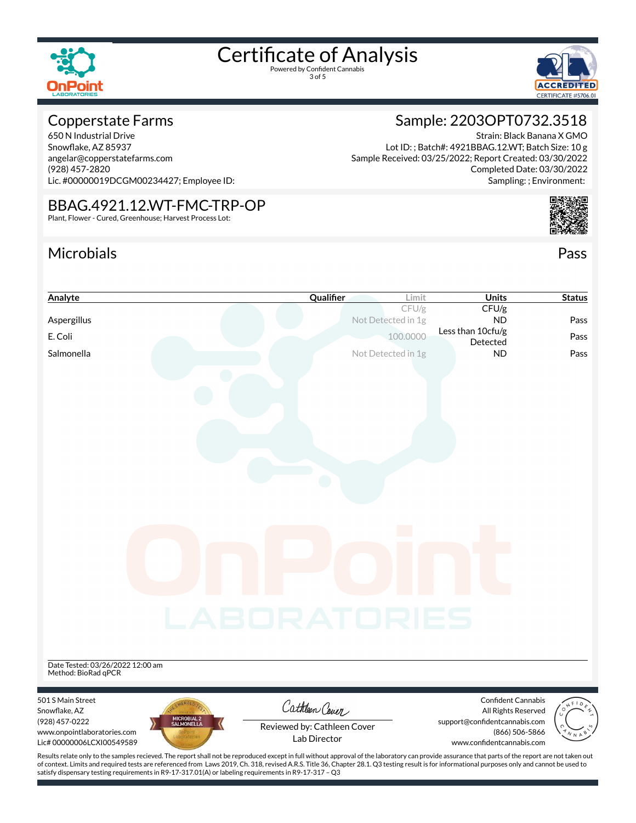

3 of 5



#### Copperstate Farms

650 N Industrial Drive Snowflake, AZ 85937 angelar@copperstatefarms.com (928) 457-2820 Lic. #00000019DCGM00234427; Employee ID:

#### BBAG.4921.12.WT-FMC-TRP-OP

satisfy dispensary testing requirements in R9-17-317.01(A) or labeling requirements in R9-17-317 – Q3

Plant, Flower - Cured, Greenhouse; Harvest Process Lot:

### Microbials Pass



Strain: Black Banana X GMO

Completed Date: 03/30/2022

Sample: 2203OPT0732.3518

Lot ID: ; Batch#: 4921BBAG.12.WT; Batch Size: 10 g

Sample Received: 03/25/2022; Report Created: 03/30/2022

| Analyte                                                                                                                                                                                            | Qualifier                   | Limit                       | <b>Units</b>                                | <b>Status</b> |
|----------------------------------------------------------------------------------------------------------------------------------------------------------------------------------------------------|-----------------------------|-----------------------------|---------------------------------------------|---------------|
| Aspergillus                                                                                                                                                                                        |                             | CFU/g<br>Not Detected in 1g | CFU/g<br><b>ND</b>                          | Pass          |
|                                                                                                                                                                                                    |                             |                             | Less than 10cfu/g                           |               |
| E. Coli                                                                                                                                                                                            |                             | 100,0000                    | Detected                                    | Pass          |
| Salmonella                                                                                                                                                                                         |                             | Not Detected in 1g          | <b>ND</b>                                   | Pass          |
|                                                                                                                                                                                                    |                             |                             |                                             |               |
|                                                                                                                                                                                                    |                             |                             |                                             |               |
|                                                                                                                                                                                                    |                             |                             |                                             |               |
|                                                                                                                                                                                                    |                             |                             |                                             |               |
|                                                                                                                                                                                                    |                             |                             |                                             |               |
|                                                                                                                                                                                                    |                             |                             |                                             |               |
|                                                                                                                                                                                                    |                             |                             |                                             |               |
|                                                                                                                                                                                                    |                             |                             |                                             |               |
|                                                                                                                                                                                                    |                             |                             |                                             |               |
|                                                                                                                                                                                                    |                             |                             |                                             |               |
|                                                                                                                                                                                                    |                             |                             |                                             |               |
|                                                                                                                                                                                                    |                             |                             |                                             |               |
|                                                                                                                                                                                                    |                             |                             |                                             |               |
|                                                                                                                                                                                                    |                             |                             |                                             |               |
|                                                                                                                                                                                                    |                             |                             |                                             |               |
|                                                                                                                                                                                                    |                             |                             |                                             |               |
|                                                                                                                                                                                                    |                             |                             |                                             |               |
|                                                                                                                                                                                                    |                             |                             |                                             |               |
|                                                                                                                                                                                                    | LABORATORIES                |                             |                                             |               |
|                                                                                                                                                                                                    |                             |                             |                                             |               |
|                                                                                                                                                                                                    |                             |                             |                                             |               |
| Date Tested: 03/26/2022 12:00 am                                                                                                                                                                   |                             |                             |                                             |               |
| Method: BioRad qPCR                                                                                                                                                                                |                             |                             |                                             |               |
| 501 S Main Street                                                                                                                                                                                  |                             |                             | <b>Confident Cannabis</b>                   |               |
| Snowflake, AZ                                                                                                                                                                                      | Cathleen Cover              |                             | All Rights Reserved                         |               |
| MICROBIAL 2<br>SALMONELLA<br>(928) 457-0222                                                                                                                                                        | Reviewed by: Cathleen Cover |                             | support@confidentcannabis.com               |               |
| www.onpointlaboratories.com<br>Lic# 00000006LCXI00549589                                                                                                                                           | Lab Director                |                             | (866) 506-5866<br>www.confidentcannabis.com |               |
| Results relate only to the samples recieved. The report shall not be reproduced except in full without approval of the laboratory can provide assurance that parts of the report are not taken out |                             |                             |                                             |               |
| of context. Limits and required tests are referenced from Laws 2019, Ch. 318, revised A.R.S. Title 36, Chapter 28.1. Q3 testing result is for informational purposes only and cannot be used to    |                             |                             |                                             |               |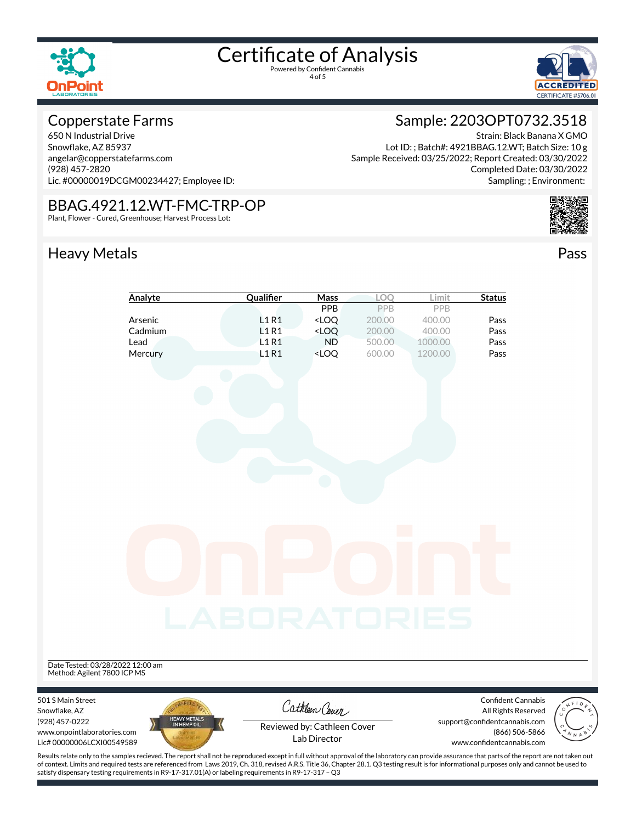



#### Copperstate Farms

650 N Industrial Drive Snowflake, AZ 85937 angelar@copperstatefarms.com (928) 457-2820 Lic. #00000019DCGM00234427; Employee ID:

#### BBAG.4921.12.WT-FMC-TRP-OP

Plant, Flower - Cured, Greenhouse; Harvest Process Lot:

### Heavy Metals **Pass**

### Sample: 2203OPT0732.3518

Strain: Black Banana X GMO Lot ID: ; Batch#: 4921BBAG.12.WT; Batch Size: 10 g Sample Received: 03/25/2022; Report Created: 03/30/2022 Completed Date: 03/30/2022 Sampling: ; Environment:



| PPB<br>PPB<br>PPB<br>L1R1<br><loq<br>Arsenic<br/>200.00<br/>400.00<br/>Pass<br/>L1R1<br/><math>&lt;</math>LOQ<br/>Cadmium<br/>200.00<br/>400.00<br/>Pass<br/>L1R1<br/><b>ND</b><br/>Lead<br/>500.00<br/>1000.00<br/>Pass<br/>Mercury<br/>L1R1<br/><loq<br>1200.00<br/>Pass<br/>600.00<br/>ing.<br/>Kabupatèn</loq<br></loq<br> |
|--------------------------------------------------------------------------------------------------------------------------------------------------------------------------------------------------------------------------------------------------------------------------------------------------------------------------------|
|                                                                                                                                                                                                                                                                                                                                |
|                                                                                                                                                                                                                                                                                                                                |
|                                                                                                                                                                                                                                                                                                                                |
|                                                                                                                                                                                                                                                                                                                                |
| <b>BORATOI</b><br>Date Tested: 03/28/2022 12:00 am<br>Method: Agilent 7800 ICP MS                                                                                                                                                                                                                                              |
| Confident Cannabis<br>501 S Main Street                                                                                                                                                                                                                                                                                        |
| Cathleen Cover<br>Snowflake, AZ<br>All Rights Reserved                                                                                                                                                                                                                                                                         |
| HEAVY METALS<br>IN HEMP OIL<br>(928) 457-0222<br>support@confidentcannabis.com<br>Reviewed by: Cathleen Cover<br>(866) 506-5866<br>www.onpointlaboratories.com<br>Lab Director<br>Lic# 00000006LCXI00549589<br>www.confidentcannabis.com                                                                                       |

Results relate only to the samples recieved. The report shall not be reproduced except in full without approval of the laboratory can provide assurance that parts of the report are not taken out of context. Limits and required tests are referenced from Laws 2019, Ch. 318, revised A.R.S. Title 36, Chapter 28.1. Q3 testing result is for informational purposes only and cannot be used to satisfy dispensary testing requirements in R9-17-317.01(A) or labeling requirements in R9-17-317 – Q3